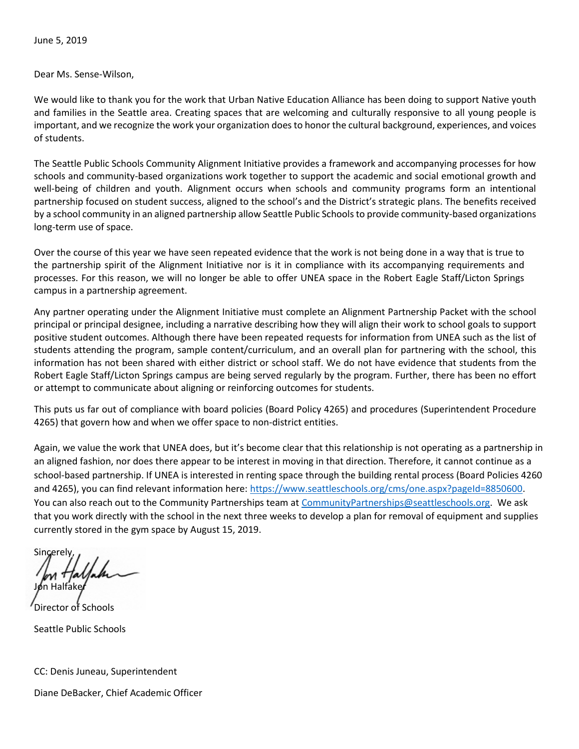June 5, 2019

Dear Ms. Sense-Wilson,

We would like to thank you for the work that Urban Native Education Alliance has been doing to support Native youth and families in the Seattle area. Creating spaces that are welcoming and culturally responsive to all young people is important, and we recognize the work your organization does to honor the cultural background, experiences, and voices of students.

The Seattle Public Schools Community Alignment Initiative provides a framework and accompanying processes for how schools and community-based organizations work together to support the academic and social emotional growth and well-being of children and youth. Alignment occurs when schools and community programs form an intentional partnership focused on student success, aligned to the school's and the District's strategic plans. The benefits received by a school community in an aligned partnership allow Seattle Public Schoolsto provide community-based organizations long-term use of space.

Over the course of this year we have seen repeated evidence that the work is not being done in a way that is true to the partnership spirit of the Alignment Initiative nor is it in compliance with its accompanying requirements and processes. For this reason, we will no longer be able to offer UNEA space in the Robert Eagle Staff/Licton Springs campus in a partnership agreement.

Any partner operating under the Alignment Initiative must complete an Alignment Partnership Packet with the school principal or principal designee, including a narrative describing how they will align their work to school goals to support positive student outcomes. Although there have been repeated requests for information from UNEA such as the list of students attending the program, sample content/curriculum, and an overall plan for partnering with the school, this information has not been shared with either district or school staff. We do not have evidence that students from the Robert Eagle Staff/Licton Springs campus are being served regularly by the program. Further, there has been no effort or attempt to communicate about aligning or reinforcing outcomes for students.

This puts us far out of compliance with board policies (Board Policy 4265) and procedures (Superintendent Procedure 4265) that govern how and when we offer space to non-district entities.

Again, we value the work that UNEA does, but it's become clear that this relationship is not operating as a partnership in an aligned fashion, nor does there appear to be interest in moving in that direction. Therefore, it cannot continue as a school-based partnership. If UNEA is interested in renting space through the building rental process (Board Policies 4260 and 4265), you can find relevant information here: https://www.seattleschools.org/cms/one.aspx?pageId=8850600. You can also reach out to the Community Partnerships team at CommunityPartnerships@seattleschools.org. We ask that you work directly with the school in the next three weeks to develop a plan for removal of equipment and supplies currently stored in the gym space by August 15, 2019.

Singerely, Jøn Halfaker

Director of Schools

Seattle Public Schools

CC: Denis Juneau, Superintendent Diane DeBacker, Chief Academic Officer